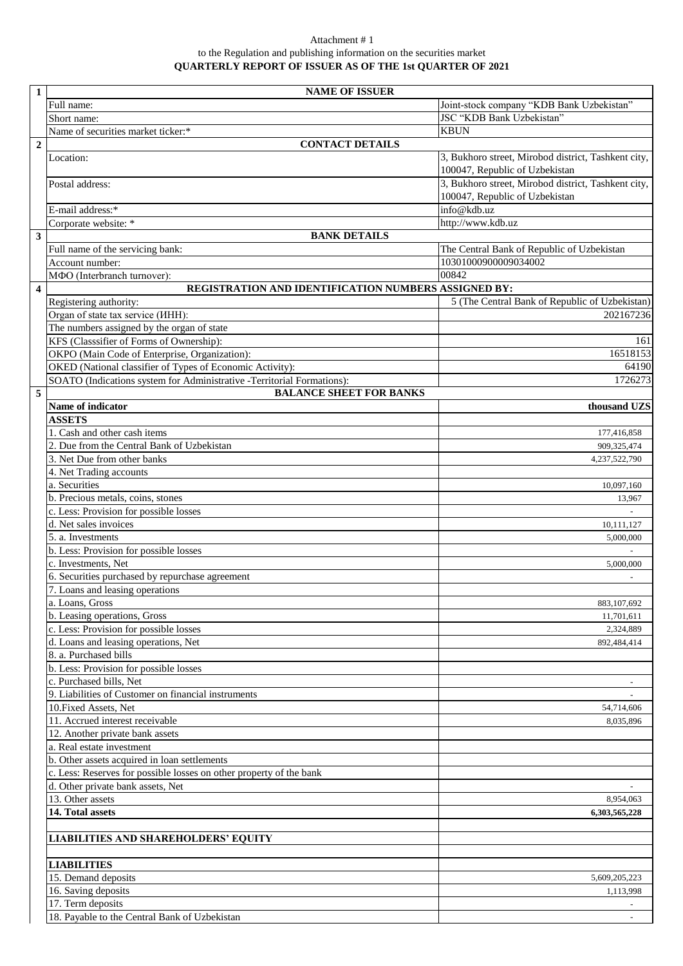## Attachment # 1 to the Regulation and publishing information on the securities market **QUARTERLY REPORT OF ISSUER AS OF THE 1st QUARTER OF 2021**

| $\mathbf{1}$            | <b>NAME OF ISSUER</b>                                                                                    |                                                                                       |
|-------------------------|----------------------------------------------------------------------------------------------------------|---------------------------------------------------------------------------------------|
|                         | Full name:                                                                                               | Joint-stock company "KDB Bank Uzbekistan"                                             |
|                         | Short name:                                                                                              | JSC "KDB Bank Uzbekistan"                                                             |
|                         | Name of securities market ticker:*                                                                       | <b>KBUN</b>                                                                           |
| $\overline{2}$          | <b>CONTACT DETAILS</b>                                                                                   |                                                                                       |
|                         | Location:                                                                                                | 3, Bukhoro street, Mirobod district, Tashkent city,<br>100047, Republic of Uzbekistan |
|                         | Postal address:                                                                                          | 3, Bukhoro street, Mirobod district, Tashkent city,<br>100047, Republic of Uzbekistan |
|                         | E-mail address:*                                                                                         | info@kdb.uz                                                                           |
|                         | Corporate website: *                                                                                     | http://www.kdb.uz                                                                     |
| $\mathbf{3}$            | <b>BANK DETAILS</b>                                                                                      |                                                                                       |
|                         | Full name of the servicing bank:                                                                         | The Central Bank of Republic of Uzbekistan                                            |
|                         | Account number:                                                                                          | 10301000900009034002                                                                  |
|                         | МФО (Interbranch turnover):                                                                              | 00842                                                                                 |
| $\overline{\mathbf{4}}$ | REGISTRATION AND IDENTIFICATION NUMBERS ASSIGNED BY:                                                     |                                                                                       |
|                         | Registering authority:                                                                                   | 5 (The Central Bank of Republic of Uzbekistan)                                        |
|                         | Organ of state tax service (IHH):                                                                        | 202167236                                                                             |
|                         | The numbers assigned by the organ of state                                                               |                                                                                       |
|                         | KFS (Classsifier of Forms of Ownership):                                                                 | 161                                                                                   |
|                         | OKPO (Main Code of Enterprise, Organization):                                                            | 16518153                                                                              |
|                         | OKED (National classifier of Types of Economic Activity):                                                | 64190                                                                                 |
|                         | SOATO (Indications system for Administrative -Territorial Formations):<br><b>BALANCE SHEET FOR BANKS</b> | 1726273                                                                               |
| 5                       |                                                                                                          |                                                                                       |
|                         | Name of indicator<br><b>ASSETS</b>                                                                       | thousand UZS                                                                          |
|                         | 1. Cash and other cash items                                                                             |                                                                                       |
|                         | 2. Due from the Central Bank of Uzbekistan                                                               | 177,416,858                                                                           |
|                         | 3. Net Due from other banks                                                                              | 909,325,474<br>4,237,522,790                                                          |
|                         | 4. Net Trading accounts                                                                                  |                                                                                       |
|                         | a. Securities                                                                                            | 10,097,160                                                                            |
|                         | b. Precious metals, coins, stones                                                                        | 13,967                                                                                |
|                         | c. Less: Provision for possible losses                                                                   |                                                                                       |
|                         | d. Net sales invoices                                                                                    | 10,111,127                                                                            |
|                         | 5. a. Investments                                                                                        | 5,000,000                                                                             |
|                         | b. Less: Provision for possible losses                                                                   |                                                                                       |
|                         | c. Investments, Net                                                                                      | 5,000,000                                                                             |
|                         | 6. Securities purchased by repurchase agreement                                                          |                                                                                       |
|                         | 7. Loans and leasing operations                                                                          |                                                                                       |
|                         | a. Loans, Gross                                                                                          | 883, 107, 692                                                                         |
|                         | b. Leasing operations, Gross                                                                             | 11,701,611                                                                            |
|                         | c. Less: Provision for possible losses                                                                   | 2,324,889                                                                             |
|                         | d. Loans and leasing operations, Net                                                                     | 892,484,414                                                                           |
|                         | 8. a. Purchased bills                                                                                    |                                                                                       |
|                         | b. Less: Provision for possible losses                                                                   |                                                                                       |
|                         | c. Purchased bills, Net                                                                                  |                                                                                       |
|                         | 9. Liabilities of Customer on financial instruments                                                      |                                                                                       |
|                         | 10. Fixed Assets, Net                                                                                    | 54,714,606                                                                            |
|                         | 11. Accrued interest receivable                                                                          | 8,035,896                                                                             |
|                         | 12. Another private bank assets                                                                          |                                                                                       |
|                         | a. Real estate investment                                                                                |                                                                                       |
|                         | b. Other assets acquired in loan settlements                                                             |                                                                                       |
|                         | c. Less: Reserves for possible losses on other property of the bank<br>d. Other private bank assets, Net |                                                                                       |
|                         | 13. Other assets                                                                                         | 8,954,063                                                                             |
|                         | 14. Total assets                                                                                         | 6,303,565,228                                                                         |
|                         |                                                                                                          |                                                                                       |
|                         | <b>LIABILITIES AND SHAREHOLDERS' EQUITY</b>                                                              |                                                                                       |
|                         |                                                                                                          |                                                                                       |
|                         | <b>LIABILITIES</b>                                                                                       |                                                                                       |
|                         | 15. Demand deposits                                                                                      | 5,609,205,223                                                                         |
|                         | 16. Saving deposits<br>17. Term deposits                                                                 | 1,113,998                                                                             |
|                         | 18. Payable to the Central Bank of Uzbekistan                                                            |                                                                                       |
|                         |                                                                                                          |                                                                                       |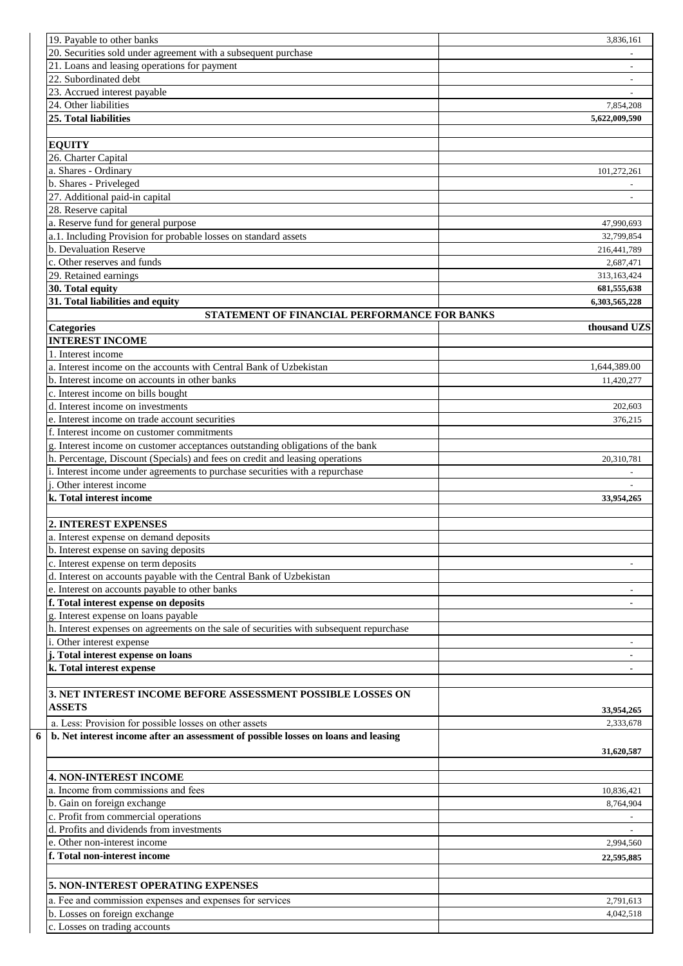| 19. Payable to other banks                                                              | 3.836.161      |
|-----------------------------------------------------------------------------------------|----------------|
| 20. Securities sold under agreement with a subsequent purchase                          |                |
| 21. Loans and leasing operations for payment                                            |                |
| 22. Subordinated debt                                                                   |                |
| 23. Accrued interest payable                                                            |                |
| 24. Other liabilities                                                                   | 7.854.208      |
| 25. Total liabilities                                                                   | 5,622,009,590  |
|                                                                                         |                |
| <b>EQUITY</b>                                                                           |                |
| 26. Charter Capital                                                                     |                |
| a. Shares - Ordinary                                                                    | 101,272,261    |
| b. Shares - Priveleged                                                                  |                |
| 27. Additional paid-in capital                                                          |                |
| 28. Reserve capital                                                                     |                |
| a. Reserve fund for general purpose                                                     | 47,990,693     |
| a.1. Including Provision for probable losses on standard assets                         | 32,799,854     |
| b. Devaluation Reserve                                                                  | 216,441,789    |
| c. Other reserves and funds                                                             | 2,687,471      |
| 29. Retained earnings                                                                   | 313,163,424    |
|                                                                                         |                |
| 30. Total equity                                                                        | 681,555,638    |
| 31. Total liabilities and equity                                                        | 6,303,565,228  |
| STATEMENT OF FINANCIAL PERFORMANCE FOR BANKS                                            |                |
| <b>Categories</b>                                                                       | thousand UZS   |
| <b>INTEREST INCOME</b>                                                                  |                |
| 1. Interest income                                                                      |                |
| a. Interest income on the accounts with Central Bank of Uzbekistan                      | 1,644,389.00   |
| b. Interest income on accounts in other banks                                           | 11,420,277     |
| c. Interest income on bills bought                                                      |                |
| d. Interest income on investments                                                       | 202,603        |
| e. Interest income on trade account securities                                          | 376,215        |
| f. Interest income on customer commitments                                              |                |
| g. Interest income on customer acceptances outstanding obligations of the bank          |                |
| h. Percentage, Discount (Specials) and fees on credit and leasing operations            | 20,310,781     |
| i. Interest income under agreements to purchase securities with a repurchase            |                |
| <i>i</i> . Other interest income                                                        |                |
| k. Total interest income                                                                | 33,954,265     |
|                                                                                         |                |
| 2. INTEREST EXPENSES                                                                    |                |
| a. Interest expense on demand deposits                                                  |                |
|                                                                                         |                |
| b. Interest expense on saving deposits                                                  |                |
| c. Interest expense on term deposits                                                    |                |
| d. Interest on accounts payable with the Central Bank of Uzbekistan                     |                |
| e. Interest on accounts payable to other banks                                          |                |
| f. Total interest expense on deposits                                                   |                |
| g. Interest expense on loans payable                                                    |                |
| h. Interest expenses on agreements on the sale of securities with subsequent repurchase |                |
| i. Other interest expense                                                               |                |
| j. Total interest expense on loans                                                      | $\blacksquare$ |
| k. Total interest expense                                                               |                |
|                                                                                         |                |
| 3. NET INTEREST INCOME BEFORE ASSESSMENT POSSIBLE LOSSES ON                             |                |
| <b>ASSETS</b>                                                                           |                |
|                                                                                         | 33,954,265     |
| a. Less: Provision for possible losses on other assets                                  | 2,333,678      |
| b. Net interest income after an assessment of possible losses on loans and leasing      |                |
|                                                                                         | 31,620,587     |
|                                                                                         |                |
| <b>4. NON-INTEREST INCOME</b>                                                           |                |
| a. Income from commissions and fees                                                     | 10,836,421     |
| b. Gain on foreign exchange                                                             | 8,764,904      |
| c. Profit from commercial operations                                                    |                |
| d. Profits and dividends from investments                                               |                |
| e. Other non-interest income                                                            | 2,994,560      |
| f. Total non-interest income                                                            |                |
|                                                                                         | 22,595,885     |
|                                                                                         |                |
| 5. NON-INTEREST OPERATING EXPENSES                                                      |                |
| a. Fee and commission expenses and expenses for services                                | 2,791,613      |
| b. Losses on foreign exchange                                                           | 4,042,518      |
| c. Losses on trading accounts                                                           |                |
|                                                                                         |                |